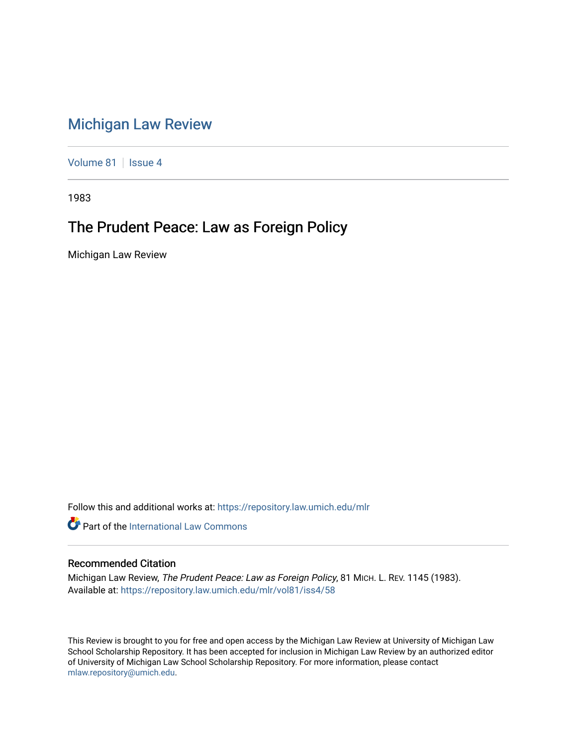## [Michigan Law Review](https://repository.law.umich.edu/mlr)

[Volume 81](https://repository.law.umich.edu/mlr/vol81) | [Issue 4](https://repository.law.umich.edu/mlr/vol81/iss4)

1983

## The Prudent Peace: Law as Foreign Policy

Michigan Law Review

Follow this and additional works at: [https://repository.law.umich.edu/mlr](https://repository.law.umich.edu/mlr?utm_source=repository.law.umich.edu%2Fmlr%2Fvol81%2Fiss4%2F58&utm_medium=PDF&utm_campaign=PDFCoverPages) 

**Part of the International Law Commons** 

## Recommended Citation

Michigan Law Review, The Prudent Peace: Law as Foreign Policy, 81 MICH. L. REV. 1145 (1983). Available at: [https://repository.law.umich.edu/mlr/vol81/iss4/58](https://repository.law.umich.edu/mlr/vol81/iss4/58?utm_source=repository.law.umich.edu%2Fmlr%2Fvol81%2Fiss4%2F58&utm_medium=PDF&utm_campaign=PDFCoverPages) 

This Review is brought to you for free and open access by the Michigan Law Review at University of Michigan Law School Scholarship Repository. It has been accepted for inclusion in Michigan Law Review by an authorized editor of University of Michigan Law School Scholarship Repository. For more information, please contact [mlaw.repository@umich.edu.](mailto:mlaw.repository@umich.edu)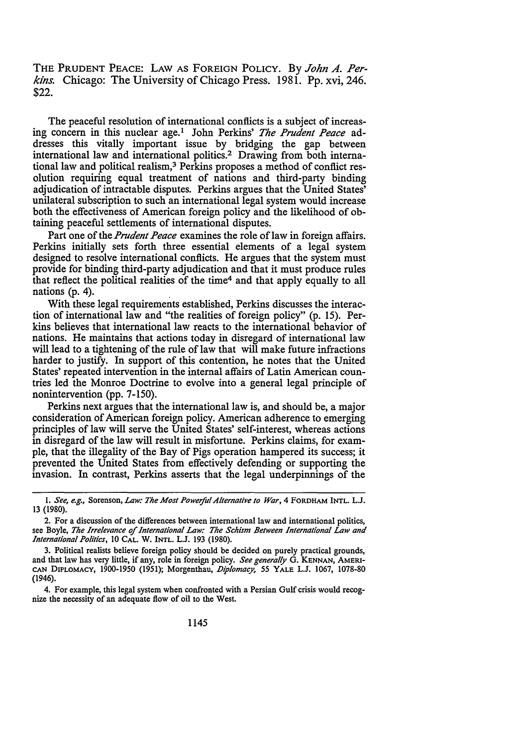THE PRUDENT PEACE: LAW AS FOREIGN POLICY. By *John A. Perkins.* Chicago: The University of Chicago Press. 1981. Pp. xvi, 246. \$22.

The peaceful resolution of international conflicts is a subject of increasing concern in this nuclear age. 1 John Perkins' *The Prudent Peace* addresses this vitally important issue by bridging the gap between international law and international politics.2 Drawing from both international law and political realism,3 Perkins proposes a method of conflict resolution requiring equal treatment of nations and third-party binding adjudication of intractable disputes. Perkins argues that the United States' unilateral subscription to such an international legal system would increase both the effectiveness of American foreign policy and the likelihood of obtaining peaceful settlements of international disputes.

Part one of the *Prudent Peace* examines the role of law in foreign affairs. Perkins initially sets forth three essential elements of a legal system designed to resolve international conflicts. He argues that the system must provide for binding third-party adjudication and that it must produce rules that reflect the political realities of the time4 and that apply equally to all nations (p. 4).

With these legal requirements established, Perkins discusses the interaction of international law and "the realities of foreign policy" (p. 15). Perkins believes that international law reacts to the international behavior of nations. He maintains that actions today in disregard of international law will lead to a tightening of the rule of law that will make future infractions harder to justify. In support of this contention, he notes that the United States' repeated intervention in the internal affairs of Latin American countries led the Monroe Doctrine to evolve into a general legal principle of nonintervention (pp. 7-150).

Perkins next argues that the international law is, and should be, a major consideration of American foreign policy. American adherence to emerging principles of law will serve the United States' self-interest, whereas actions in disregard of the law will result in misfortune. Perkins claims, for example, that the illegality of the Bay of Pigs operation hampered its success; it prevented the United States from effectively defending or supporting the invasion. In contrast, Perkins asserts that the legal underpinnings of the

4. For example, this legal system when confronted with a Persian Gulf crisis would recognize the necessity of an adequate flow of oil to the West.

I. *See, e.g.,* Sorenson, *Law: The Most Powerful Alternative to War,* 4 FORDHAM INTL. L.J. 13 (1980).

<sup>2.</sup> For a discussion of the differences between international law and international politics, see Boyle, *The Irrelevance of International Law: The Schism Between International Law and International Politics,* 10 CAL. W. INTL. L.J. 193 (1980).

<sup>3.</sup> Political realists believe foreign policy should be decided on purely practical grounds, and that law has very little, if any, role in foreign policy. *See generally* G. KENNAN, AMERI-CAN DIPLOMACY, 1900-1950 (1951); Morgenthau, *Diplomacy,* 55 YALE L.J. 1067, 1078-80 (1946).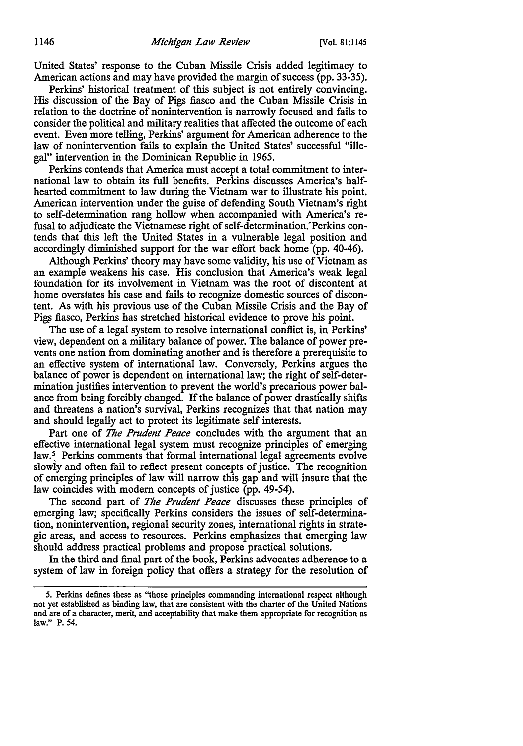United States' response to the Cuban Missile Crisis added legitimacy to American actions and may have provided the margin of success (pp. 33-35).

Perkins' historical treatment of this subject is not entirely convincing. His discussion of the Bay of Pigs fiasco and the Cuban Missile Crisis in relation to the doctrine of nonintervention is narrowly focused and fails to consider the political and military realities that affected the outcome of each event. Even more telling, Perkins' argument for American adherence to the law of nonintervention fails to explain the United States' successful "illegal" intervention in the Dominican Republic in 1965.

Perkins contends that America must accept a total commitment to international law to obtain its full benefits. Perkins discusses America's halfhearted commitment to law during the Vietnam war to illustrate his point. American intervention under the guise of defending South Vietnam's right to self-determination rang hollow when accompanied with America's refusal to adjudicate the Vietnamese right of self-determination:Perkins contends that this left the United States in a vulnerable legal position and accordingly diminished support for the war effort back home (pp. 40-46).

Although Perkins' theory may have some validity, his use of Vietnam as an example weakens his case. His conclusion that America's weak legal foundation for its involvement in Vietnam was the root of discontent at home overstates his case and fails to recognize domestic sources of discontent. As with his previous use of the Cuban Missile Crisis and the Bay of Pigs fiasco, Perkins has stretched historical evidence to prove his point.

The use of a legal system to resolve international conflict is, in Perkins' view, dependent on a military balance of power. The balance of power prevents one nation from dominating another and is therefore a prerequisite to an effective system of international law. Conversely, Perkins argues the balance of power is dependent on international law; the right of self-determination justifies intervention to prevent the world's precarious power balance from being forcibly changed. If the balance of power drastically shifts and threatens a nation's survival, Perkins recognizes that that nation may and should legally act to protect its legitimate self interests.

Part one of *The Prudent Peace* concludes with the argument that an effective international legal system must recognize principles of emerging law.<sup>5</sup> Perkins comments that formal international legal agreements evolve slowly and often fail to reflect present concepts of justice. The recognition of emerging principles of law will narrow this gap and will insure that the law coincides with modem concepts of justice (pp. 49-54).

The second part of *The Prudent Peace* discusses these principles of emerging law; specifically Perkins considers the issues of self-determination, nonintervention, regional security zones, international rights in strategic areas, and access to resources. Perkins emphasizes that emerging law should address practical problems and propose practical solutions.

In the third and final part of the book, Perkins advocates adherence to a system of law in foreign policy that offers a strategy for the resolution of

*S.* Perkins defines these as "those principles commanding international respect although not yet established as binding law, that are consistent with the charter of the United Nations and are of a character, merit, and acceptability that make them appropriate for recognition as law." P. *S4.*